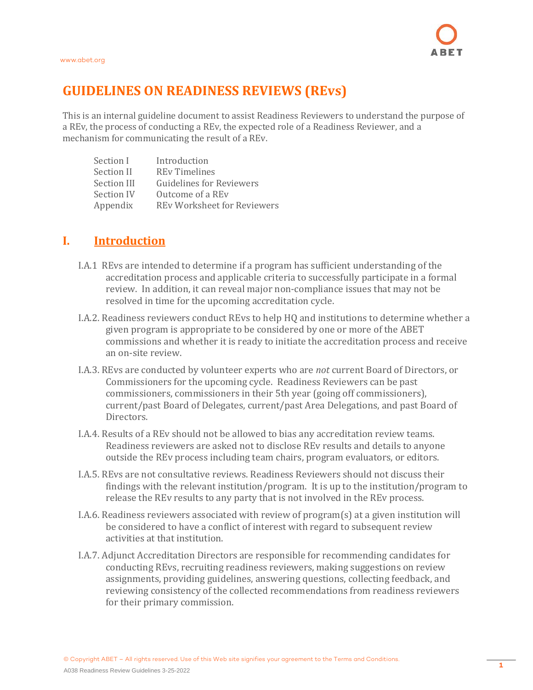# **GUIDELINES ON READINESS REVIEWS (REvs)**

This is an internal guideline document to assist Readiness Reviewers to understand the purpose of a REv, the process of conducting a REv, the expected role of a Readiness Reviewer, and a mechanism for communicating the result of a REv.

| Section I   | Introduction                       |
|-------------|------------------------------------|
| Section II  | <b>REv Timelines</b>               |
| Section III | <b>Guidelines for Reviewers</b>    |
| Section IV  | Outcome of a REv                   |
| Appendix    | <b>REV Worksheet for Reviewers</b> |

### **I. Introduction**

- I.A.1 REvs are intended to determine if a program has sufficient understanding of the accreditation process and applicable criteria to successfully participate in a formal review. In addition, it can reveal major non-compliance issues that may not be resolved in time for the upcoming accreditation cycle.
- I.A.2. Readiness reviewers conduct REvs to help HQ and institutions to determine whether a given program is appropriate to be considered by one or more of the ABET commissions and whether it is ready to initiate the accreditation process and receive an on-site review.
- I.A.3. REvs are conducted by volunteer experts who are *not* current Board of Directors, or Commissioners for the upcoming cycle. Readiness Reviewers can be past commissioners, commissioners in their 5th year (going off commissioners), current/past Board of Delegates, current/past Area Delegations, and past Board of Directors.
- I.A.4. Results of a REv should not be allowed to bias any accreditation review teams. Readiness reviewers are asked not to disclose REv results and details to anyone outside the REv process including team chairs, program evaluators, or editors.
- I.A.5. REvs are not consultative reviews. Readiness Reviewers should not discuss their findings with the relevant institution/program. It is up to the institution/program to release the REv results to any party that is not involved in the REv process.
- I.A.6. Readiness reviewers associated with review of program(s) at a given institution will be considered to have a conflict of interest with regard to subsequent review activities at that institution.
- I.A.7. Adjunct Accreditation Directors are responsible for recommending candidates for conducting REvs, recruiting readiness reviewers, making suggestions on review assignments, providing guidelines, answering questions, collecting feedback, and reviewing consistency of the collected recommendations from readiness reviewers for their primary commission.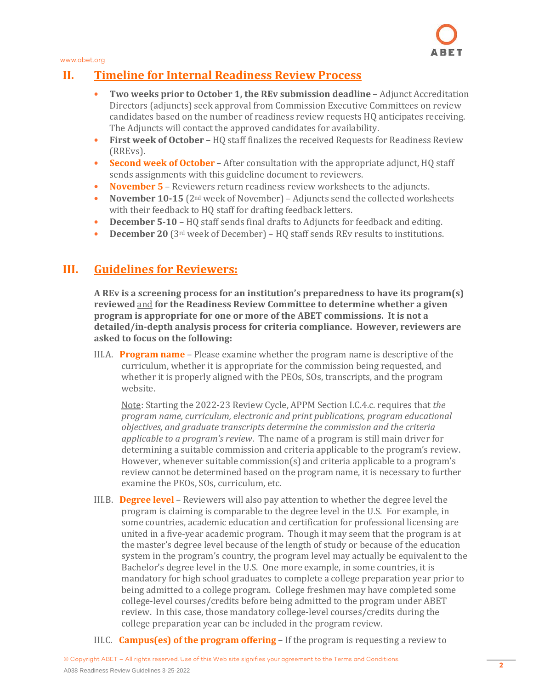[www.abet.org](http://www.abet.org/)

## **II. Timeline for Internal Readiness Review Process**

- **Two weeks prior to October 1, the REv submission deadline** Adjunct Accreditation Directors (adjuncts) seek approval from Commission Executive Committees on review candidates based on the number of readiness review requests HQ anticipates receiving. The Adjuncts will contact the approved candidates for availability.
- **First week of October** HQ staff finalizes the received Requests for Readiness Review (RREvs).
- **Second week of October** After consultation with the appropriate adjunct, HQ staff sends assignments with this guideline document to reviewers.
- **November 5** Reviewers return readiness review worksheets to the adjuncts.<br>• **November 10-15** (2<sup>nd</sup> week of November) Adjuncts send the collected works
- **November 10-15** (2nd week of November) Adjuncts send the collected worksheets with their feedback to HQ staff for drafting feedback letters.
- **December 5-10** HQ staff sends final drafts to Adjuncts for feedback and editing.<br>• **December 20** (3<sup>rd</sup> week of December) HQ staff sends REv results to institutions.
- **December 20** (3rd week of December) HQ staff sends REv results to institutions.

### **III. Guidelines for Reviewers:**

**A REv is a screening process for an institution's preparedness to have its program(s) reviewed** and **for the Readiness Review Committee to determine whether a given program is appropriate for one or more of the ABET commissions. It is not a detailed/in-depth analysis process for criteria compliance. However, reviewers are asked to focus on the following:**

III.A. **Program name** – Please examine whether the program name is descriptive of the curriculum, whether it is appropriate for the commission being requested, and whether it is properly aligned with the PEOs, SOs, transcripts, and the program website.

Note: Starting the 2022-23 Review Cycle, APPM Section I.C.4.c. requires that *the program name, curriculum, electronic and print publications, program educational objectives, and graduate transcripts determine the commission and the criteria applicable to a program's review*. The name of a program is still main driver for determining a suitable commission and criteria applicable to the program's review. However, whenever suitable commission(s) and criteria applicable to a program's review cannot be determined based on the program name, it is necessary to further examine the PEOs, SOs, curriculum, etc.

- III.B. **Degree level** Reviewers will also pay attention to whether the degree level the program is claiming is comparable to the degree level in the U.S. For example, in some countries, academic education and certification for professional licensing are united in a five-year academic program. Though it may seem that the program is at the master's degree level because of the length of study or because of the education system in the program's country, the program level may actually be equivalent to the Bachelor's degree level in the U.S. One more example, in some countries, it is mandatory for high school graduates to complete a college preparation year prior to being admitted to a college program. College freshmen may have completed some college-level courses/credits before being admitted to the program under ABET review. In this case, those mandatory college-level courses/credits during the college preparation year can be included in the program review.
- III.C. **Campus(es) of the program offering** If the program is requesting a review to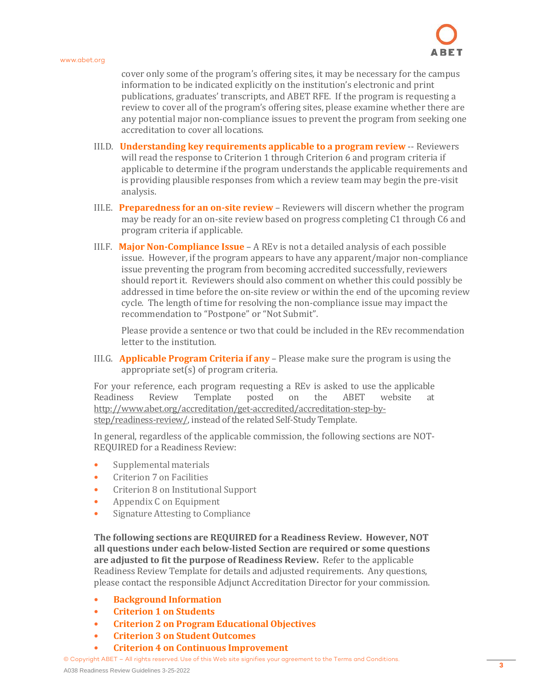cover only some of the program's offering sites, it may be necessary for the campus information to be indicated explicitly on the institution's electronic and print publications, graduates' transcripts, and ABET RFE. If the program is requesting a review to cover all of the program's offering sites, please examine whether there are any potential major non-compliance issues to prevent the program from seeking one accreditation to cover all locations.

- III.D. **Understanding key requirements applicable to a program review** -- Reviewers will read the response to Criterion 1 through Criterion 6 and program criteria if applicable to determine if the program understands the applicable requirements and is providing plausible responses from which a review team may begin the pre-visit analysis.
- III.E. **Preparedness for an on-site review** Reviewers will discern whether the program may be ready for an on-site review based on progress completing C1 through C6 and program criteria if applicable.
- III.F. **Major Non-Compliance Issue** A REv is not a detailed analysis of each possible issue. However, if the program appears to have any apparent/major non-compliance issue preventing the program from becoming accredited successfully, reviewers should report it. Reviewers should also comment on whether this could possibly be addressed in time before the on-site review or within the end of the upcoming review cycle. The length of time for resolving the non-compliance issue may impact the recommendation to "Postpone" or "Not Submit".

Please provide a sentence or two that could be included in the REv recommendation letter to the institution.

III.G. **Applicable Program Criteria if any** – Please make sure the program is using the appropriate set(s) of program criteria.

For your reference, each program requesting a REv is asked to use the applicable<br>Readiness Review Template posted on the ABET website at Readiness Review Template posted on the ABET website at [http://www.abet.org/accreditation/get-accredited/accreditation-step-by](http://www.abet.org/accreditation/get-accredited/accreditation-step-by-step/readiness-review/)[step/readiness-review/,](http://www.abet.org/accreditation/get-accredited/accreditation-step-by-step/readiness-review/) instead of the related Self-Study Template.

In general, regardless of the applicable commission, the following sections are NOT-REQUIRED for a Readiness Review:

- Supplemental materials
- Criterion 7 on Facilities
- Criterion 8 on Institutional Support<br>• Annendix C on Fouinment
- Appendix C on Equipment
- Signature Attesting to Compliance

**The following sections are REQUIRED for a Readiness Review. However, NOT all questions under each below-listed Section are required or some questions are adjusted to fit the purpose of Readiness Review.** Refer to the applicable Readiness Review Template for details and adjusted requirements. Any questions, please contact the responsible Adjunct Accreditation Director for your commission.

- **Background Information**
- **Criterion 1 on Students**
- **Criterion 2 on Program Educational Objectives**
- **Criterion 3 on Student Outcomes**
- **Criterion 4 on Continuous Improvement**

© Copyright ABET – All rights reserved. Use of this Web site signifies your agreement to the Terms and Conditions. A038 Readiness Review Guidelines 3-25-2022

**3**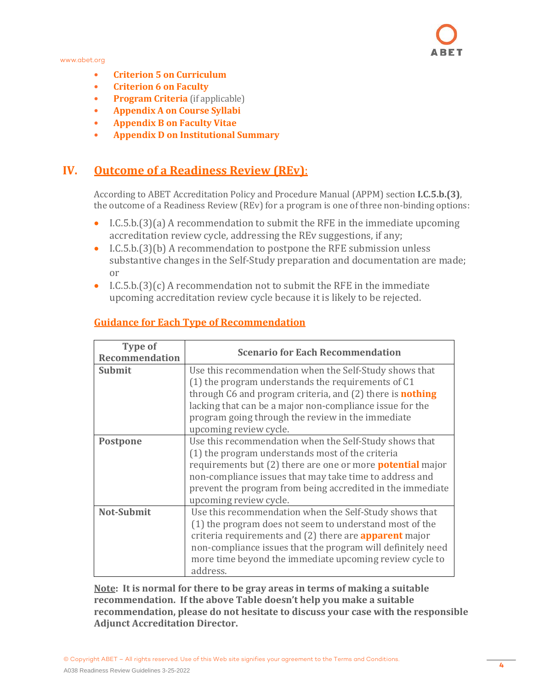[www.abet.org](http://www.abet.org/)

- **Criterion 5 on Curriculum**
- **Criterion 6 on Faculty**
- **Program Criteria** (if applicable)
- **Appendix A on Course Syllabi**
- **Appendix B on Faculty Vitae**
- **Appendix D on Institutional Summary**

#### **IV. Outcome of a Readiness Review (REv)**:

According to ABET Accreditation Policy and Procedure Manual (APPM) section **I.C.5.b.(3)**, the outcome of a Readiness Review (REv) for a program is one of three non-binding options:

- I.C.5.b.(3)(a) A recommendation to submit the RFE in the immediate upcoming accreditation review cycle, addressing the REv suggestions, if any;
- I.C.5.b.(3)(b) A recommendation to postpone the RFE submission unless substantive changes in the Self-Study preparation and documentation are made; or
- I.C.5.b.(3)(c) A recommendation not to submit the RFE in the immediate upcoming accreditation review cycle because it is likely to be rejected.

| <b>Type of</b><br><b>Recommendation</b> | <b>Scenario for Each Recommendation</b>                                                                                                                                                                                                                                                                                            |
|-----------------------------------------|------------------------------------------------------------------------------------------------------------------------------------------------------------------------------------------------------------------------------------------------------------------------------------------------------------------------------------|
| <b>Submit</b>                           | Use this recommendation when the Self-Study shows that<br>(1) the program understands the requirements of C1<br>through C6 and program criteria, and (2) there is <b>nothing</b><br>lacking that can be a major non-compliance issue for the                                                                                       |
|                                         | program going through the review in the immediate<br>upcoming review cycle.                                                                                                                                                                                                                                                        |
| <b>Postpone</b>                         | Use this recommendation when the Self-Study shows that<br>(1) the program understands most of the criteria<br>requirements but (2) there are one or more <b>potential</b> major<br>non-compliance issues that may take time to address and<br>prevent the program from being accredited in the immediate<br>upcoming review cycle. |
| <b>Not-Submit</b>                       | Use this recommendation when the Self-Study shows that<br>(1) the program does not seem to understand most of the<br>criteria requirements and $(2)$ there are <b>apparent</b> major<br>non-compliance issues that the program will definitely need<br>more time beyond the immediate upcoming review cycle to<br>address.         |

#### **Guidance for Each Type of Recommendation**

**Note: It is normal for there to be gray areas in terms of making a suitable recommendation. If the above Table doesn't help you make a suitable recommendation, please do not hesitate to discuss your case with the responsible Adjunct Accreditation Director.**